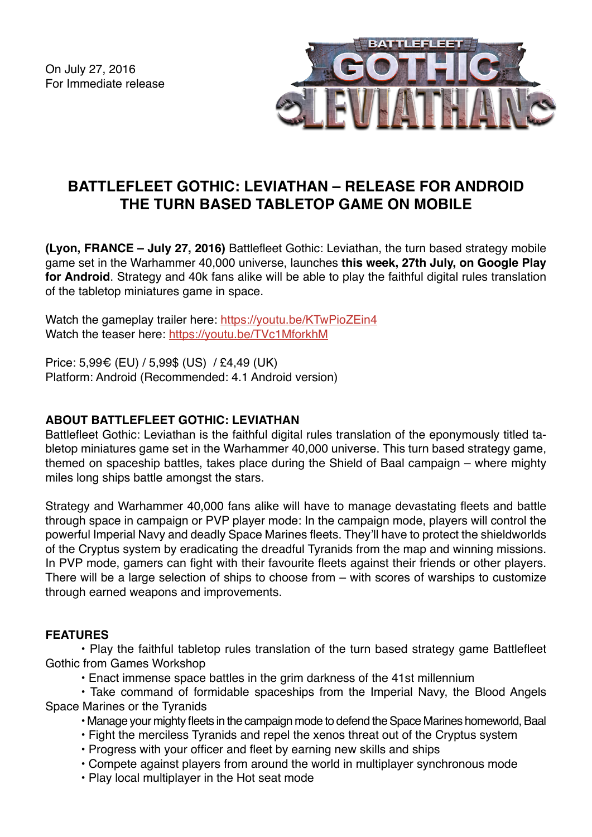On July 27, 2016 For Immediate release



# **BATTLEFLEET GOTHIC: LEVIATHAN – RELEASE FOR ANDROID THE TURN BASED TABLETOP GAME ON MOBILE**

**(Lyon, FRANCE – July 27, 2016)** Battlefleet Gothic: Leviathan, the turn based strategy mobile game set in the Warhammer 40,000 universe, launches **this week, 27th July, on Google Play for Android**. Strategy and 40k fans alike will be able to play the faithful digital rules translation of the tabletop miniatures game in space.

Watch the gameplay trailer here: <https://youtu.be/KTwPioZEin4> Watch the teaser here: <https://youtu.be/TVc1MforkhM>

Price: 5,99€ (EU) / 5,99\$ (US) / £4,49 (UK) Platform: Android (Recommended: 4.1 Android version)

## **ABOUT BATTLEFLEET GOTHIC: LEVIATHAN**

Battlefleet Gothic: Leviathan is the faithful digital rules translation of the eponymously titled tabletop miniatures game set in the Warhammer 40,000 universe. This turn based strategy game, themed on spaceship battles, takes place during the Shield of Baal campaign – where mighty miles long ships battle amongst the stars.

Strategy and Warhammer 40,000 fans alike will have to manage devastating fleets and battle through space in campaign or PVP player mode: In the campaign mode, players will control the powerful Imperial Navy and deadly Space Marines fleets. They'll have to protect the shieldworlds of the Cryptus system by eradicating the dreadful Tyranids from the map and winning missions. In PVP mode, gamers can fight with their favourite fleets against their friends or other players. There will be a large selection of ships to choose from – with scores of warships to customize through earned weapons and improvements.

### **FEATURES**

• Play the faithful tabletop rules translation of the turn based strategy game Battlefleet Gothic from Games Workshop

• Enact immense space battles in the grim darkness of the 41st millennium

• Take command of formidable spaceships from the Imperial Navy, the Blood Angels Space Marines or the Tyranids

• Manage your mighty fleets in the campaign mode to defend the Space Marines homeworld, Baal

- Fight the merciless Tyranids and repel the xenos threat out of the Cryptus system
- Progress with your officer and fleet by earning new skills and ships
- Compete against players from around the world in multiplayer synchronous mode
- Play local multiplayer in the Hot seat mode